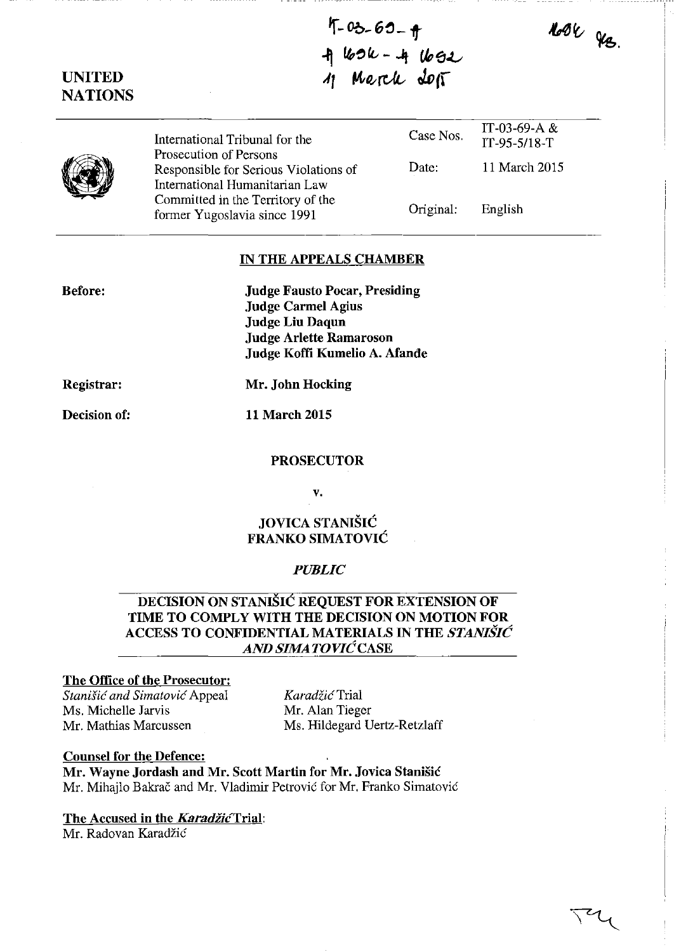Noble des.

# UNITED **NATIONS**

| International Tribunal for the<br>Prosecution of Persons                | Case Nos. | IT-03-69-A $&$<br>IT-95-5/18-T |
|-------------------------------------------------------------------------|-----------|--------------------------------|
| Responsible for Serious Violations of<br>International Humanitarian Law | Date:     | 11 March 2015                  |
| Committed in the Territory of the<br>former Yugoslavia since 1991       | Original: | English                        |

t-03-69-<del>q</del>

 $+$   $169k-+1692$ 

 $4$  Merch doff

## IN THE APPEALS CHAMBER

Judge Fausto Pocar, Presiding Judge Carmel Agius Judge Liu Daqun Judge Arlette Ramaroson Judge Koffi Kumelio A\_ Afande

Registrar:

Before:

Mr. John Hocking

Decision of:

11 March 2015

#### PROSECUTOR

v.

# JOVICA STANIŠIĆ FRANKO SIMATOVIC

### *PUBLIC*

# DECISION ON STANISIC REQUEST FOR EXTENSION OF TIME TO COMPLY WITH THE DECISION ON MOTION FOR ACCESS TO CONFIDENTIAL MATERIALS IN THE *STANISIC AND SIMA TO VIC* CASE

### The Office of the Prosecutor:

*Stanish5 and Simatovic* Appeal Ms. Michelle Jarvis Mr. Mathias Marcussen

*Karadtic* Trial Mr. Alan Tieger Ms. Hildegard Vertz-Retzlaff

Counsel for the Defence: Mr. Wayne Jordash and Mr. Scott Martin for Mr. Jovica Stanisic Mr. Mihajlo Bakrač and Mr. Vladimir Petrović for Mr. Franko Simatović

The Accused in the *Karadžić* Trial:

Mr. Radovan Karadzic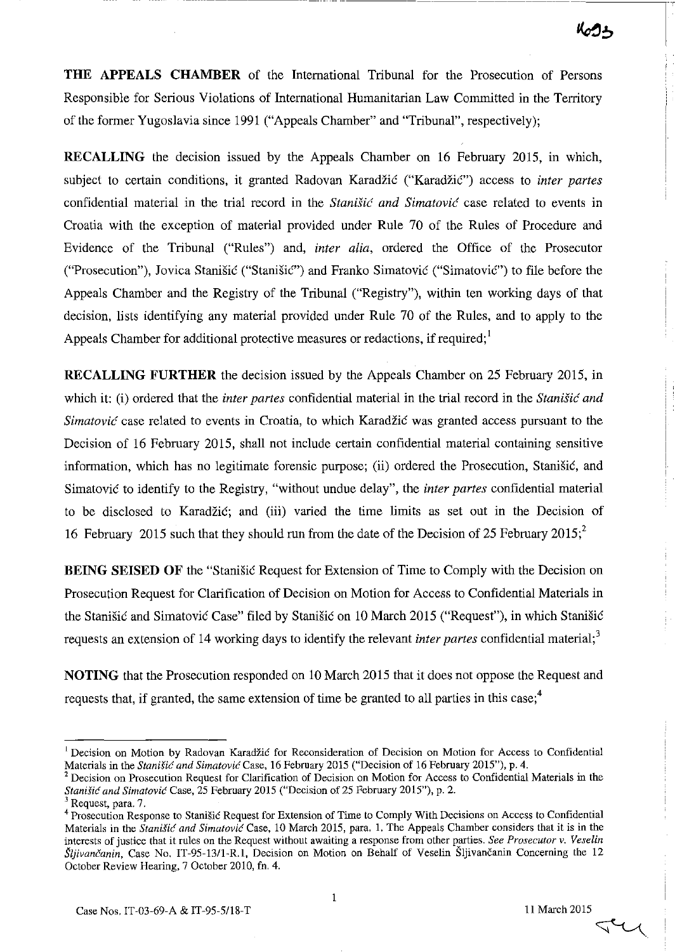**THE APPEALS CHAMBER** of the International Tribunal for the Prosecution of Persons Responsible for Serious Violations of International Humanitarian Law Committed in the Territory of the former Yugoslavia since 1991 ("Appeals Chamber" and "Tribunal", respectively);

**RECALLING** the decision issued by the Appeals Chamber on 16 February 2015, in which, subject to certain conditions, it granted Radovan Karadžić ("Karadžić") access to *inter partes* confidential material in the trial record in the *Stanisic: and Simatovic* case related to events in Croatia with the exception of material provided under Rule 70 of the Rules of Procedure and Evidence of the Tribunal ("Rules") and, *inter alia,* ordered the Office of the Prosecutor ("Prosecution"), Jovica Stanisic ("StanisiC") and Franko Simatovic ("SimatoviC") to file before the Appeals Chamber and the Registry of the Tribunal ("Registry"), within ten working days of that decision, lists identifying any material provided under Rule 70 of the Rules, and to apply to the Appeals Chamber for additional protective measures or redactions, if required;<sup>1</sup>

**RECALLING FURTHER** the decision issued by the Appeals Chamber on 25 February 2015, in which it: (i) ordered that the *inter partes* confidential material in the trial record in the *Stanisic and Simatović* case related to events in Croatia, to which Karadžić was granted access pursuant to the Decision of 16 February 2015, shall not include certain confidential material containing sensitive information, which has no legitimate forensic purpose; (ii) ordered the Prosecution, Stanišić, and Simatovic to identify to the Registry, "without undue delay", the *inter partes* confidential material to be disclosed to Karadzic; and (iii) varied the time limits as set out in the Decision of 16 February 2015 such that they should run from the date of the Decision of 25 February 2015;<sup>2</sup>

**BEING SEISED OF** the "Stanisic Request for Extension of Time to Comply with the Decision on Prosecution Request for Clarification of Decision on Motion for Access to Confidential Materials in the Stanišić and Simatović Case" filed by Stanišić on 10 March 2015 ("Request"), in which Stanišić requests an extension of 14 working days to identify the relevant *inter partes* confidential material;<sup>3</sup>

**NOTING** that the Prosecution responded on 10 March 2015 that it does not oppose the Request and requests that, if granted, the same extension of time be granted to all parties in this case;<sup>4</sup>

 $\triangleleft$ 

<sup>&</sup>lt;sup>1</sup>**Decision on Motion by Radovan Karadžić for Reconsideration of Decision on Motion for Access to Confidential** Materials in the *Stanišić and Simatović* Case, 16 February 2015 ("Decision of 16 February 2015"), p. 4.

**<sup>2</sup> Decision on Prosecution Request for Clarification of Decision on Motion for Access to Confidential Materials in the**  *Stanišić and Simatović Case, 25 February 2015 ("Decision of 25 February 2015"), p. 2.* 

<sup>&</sup>lt;sup>3</sup> Request, para. 7.

**<sup>4</sup> Prosecution Response to Stanisic Request for Extension of Time to Comply With Decisions on Access to Confidential**  Materials in the *Stanišić and Simatović* Case, 10 March 2015, para. 1. The Appeals Chamber considers that it is in the interests of justice that it rules on the Request without awaiting a response from other parties. See Prosecutor v. Veselin *Sljivančanin*, Case No. IT-95-13/1-R.1, Decision on Motion on Behalf of Veselin Sljivančanin Concerning the 12 October Review Hearing, 7 October 2010, fn. 4.